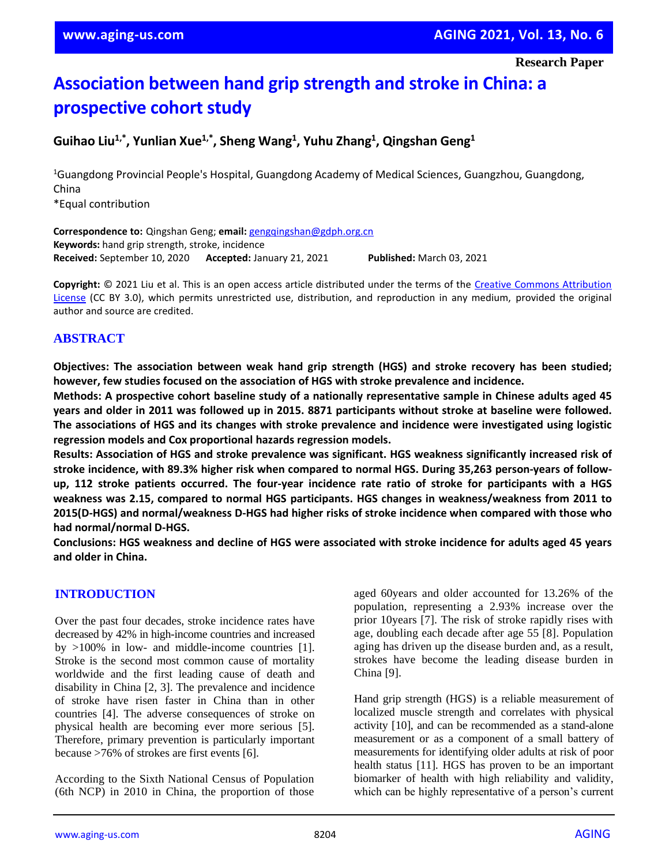**Research Paper**

# **Association between hand grip strength and stroke in China: a prospective cohort study**

**Guihao Liu1,\* , Yunlian Xue1,\* , Sheng Wang<sup>1</sup> , Yuhu Zhang<sup>1</sup> , Qingshan Geng<sup>1</sup>**

<sup>1</sup>Guangdong Provincial People's Hospital, Guangdong Academy of Medical Sciences, Guangzhou, Guangdong, China \*Equal contribution

**Correspondence to:** Qingshan Geng; **email:** [gengqingshan@gdph.org.cn](mailto:gengqingshan@gdph.org.cn) **Keywords:** hand grip strength, stroke, incidence **Received:** September 10, 2020 **Accepted:** January 21, 2021 **Published:** March 03, 2021

**Copyright:** © 2021 Liu et al. This is an open access article distributed under the terms of the [Creative Commons Attribution](https://creativecommons.org/licenses/by/3.0/)  [License](https://creativecommons.org/licenses/by/3.0/) (CC BY 3.0), which permits unrestricted use, distribution, and reproduction in any medium, provided the original author and source are credited.

## **ABSTRACT**

**Objectives: The association between weak hand grip strength (HGS) and stroke recovery has been studied; however, few studies focused on the association of HGS with stroke prevalence and incidence.**

**Methods: A prospective cohort baseline study of a nationally representative sample in Chinese adults aged 45** years and older in 2011 was followed up in 2015. 8871 participants without stroke at baseline were followed. **The associations of HGS and its changes with stroke prevalence and incidence were investigated using logistic regression models and Cox proportional hazards regression models.**

**Results: Association of HGS and stroke prevalence was significant. HGS weakness significantly increased risk of stroke incidence, with 89.3% higher risk when compared to normal HGS. During 35,263 person-years of follow**up, 112 stroke patients occurred. The four-year incidence rate ratio of stroke for participants with a HGS **weakness was 2.15, compared to normal HGS participants. HGS changes in weakness/weakness from 2011 to 2015(D-HGS) and normal/weakness D-HGS had higher risks of stroke incidence when compared with those who had normal/normal D-HGS.**

Conclusions: HGS weakness and decline of HGS were associated with stroke incidence for adults aged 45 years **and older in China.**

#### **INTRODUCTION**

Over the past four decades, stroke incidence rates have decreased by 42% in high-income countries and increased by >100% in low- and middle-income countries [1]. Stroke is the second most common cause of mortality worldwide and the first leading cause of death and disability in China [2, 3]. The prevalence and incidence of stroke have risen faster in China than in other countries [4]. The adverse consequences of stroke on physical health are becoming ever more serious [5]. Therefore, primary prevention is particularly important because >76% of strokes are first events [6].

According to the Sixth National Census of Population (6th NCP) in 2010 in China, the proportion of those aged 60years and older accounted for 13.26% of the population, representing a 2.93% increase over the prior 10years [7]. The risk of stroke rapidly rises with age, doubling each decade after age 55 [8]. Population aging has driven up the disease burden and, as a result, strokes have become the leading disease burden in China [9].

Hand grip strength (HGS) is a reliable measurement of localized muscle strength and correlates with physical activity [10], and can be recommended as a stand-alone measurement or as a component of a small battery of measurements for identifying older adults at risk of poor health status [11]. HGS has proven to be an important biomarker of health with high reliability and validity, which can be highly representative of a person's current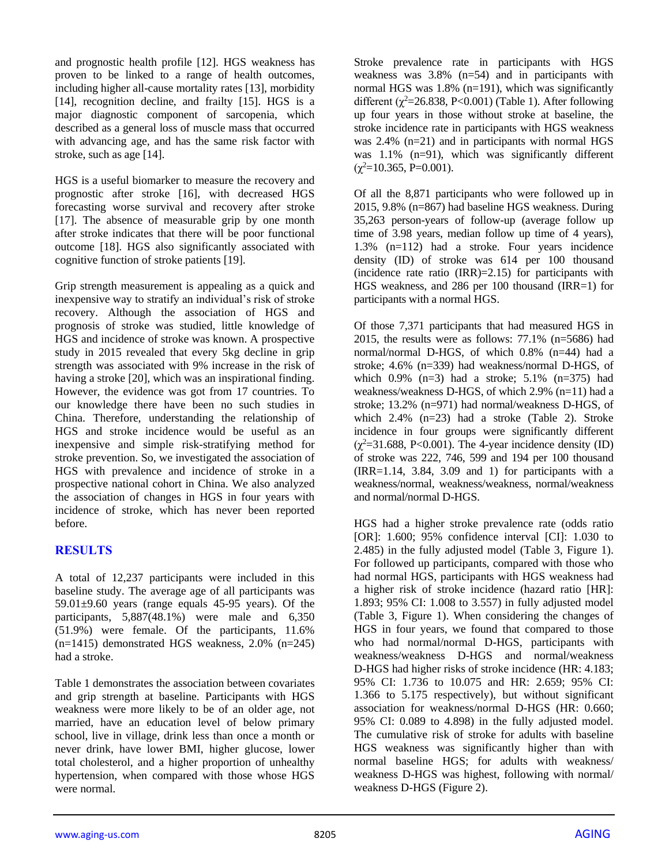and prognostic health profile [12]. HGS weakness has proven to be linked to a range of health outcomes, including higher all-cause mortality rates [13], morbidity [14], recognition decline, and frailty [15]. HGS is a major diagnostic component of sarcopenia, which described as a general loss of muscle mass that occurred with advancing age, and has the same risk factor with stroke, such as age [14].

HGS is a useful biomarker to measure the recovery and prognostic after stroke [16], with decreased HGS forecasting worse survival and recovery after stroke [17]. The absence of measurable grip by one month after stroke indicates that there will be poor functional outcome [18]. HGS also significantly associated with cognitive function of stroke patients [19].

Grip strength measurement is appealing as a quick and inexpensive way to stratify an individual's risk of stroke recovery. Although the association of HGS and prognosis of stroke was studied, little knowledge of HGS and incidence of stroke was known. A prospective study in 2015 revealed that every 5kg decline in grip strength was associated with 9% increase in the risk of having a stroke [20], which was an inspirational finding. However, the evidence was got from 17 countries. To our knowledge there have been no such studies in China. Therefore, understanding the relationship of HGS and stroke incidence would be useful as an inexpensive and simple risk-stratifying method for stroke prevention. So, we investigated the association of HGS with prevalence and incidence of stroke in a prospective national cohort in China. We also analyzed the association of changes in HGS in four years with incidence of stroke, which has never been reported before.

## **RESULTS**

A total of 12,237 participants were included in this baseline study. The average age of all participants was  $59.01\pm9.60$  years (range equals 45-95 years). Of the participants, 5,887(48.1%) were male and 6,350 (51.9%) were female. Of the participants, 11.6% (n=1415) demonstrated HGS weakness, 2.0% (n=245) had a stroke.

Table 1 demonstrates the association between covariates and grip strength at baseline. Participants with HGS weakness were more likely to be of an older age, not married, have an education level of below primary school, live in village, drink less than once a month or never drink, have lower BMI, higher glucose, lower total cholesterol, and a higher proportion of unhealthy hypertension, when compared with those whose HGS were normal.

Stroke prevalence rate in participants with HGS weakness was 3.8% (n=54) and in participants with normal HGS was 1.8% (n=191), which was significantly different ( $\chi^2$ =26.838, P<0.001) (Table 1). After following up four years in those without stroke at baseline, the stroke incidence rate in participants with HGS weakness was 2.4% (n=21) and in participants with normal HGS was 1.1% (n=91), which was significantly different  $(\chi^2 = 10.365, P = 0.001)$ .

Of all the 8,871 participants who were followed up in 2015, 9.8% (n=867) had baseline HGS weakness. During 35,263 person-years of follow-up (average follow up time of 3.98 years, median follow up time of 4 years), 1.3% (n=112) had a stroke. Four years incidence density (ID) of stroke was 614 per 100 thousand (incidence rate ratio (IRR)=2.15) for participants with HGS weakness, and 286 per 100 thousand (IRR=1) for participants with a normal HGS.

Of those 7,371 participants that had measured HGS in 2015, the results were as follows:  $77.1\%$  (n=5686) had normal/normal D-HGS, of which 0.8% (n=44) had a stroke; 4.6% (n=339) had weakness/normal D-HGS, of which 0.9% (n=3) had a stroke; 5.1% (n=375) had weakness/weakness D-HGS, of which 2.9% (n=11) had a stroke; 13.2% (n=971) had normal/weakness D-HGS, of which 2.4% (n=23) had a stroke (Table 2). Stroke incidence in four groups were significantly different  $(\chi^2=31.688, P<0.001)$ . The 4-year incidence density (ID) of stroke was 222, 746, 599 and 194 per 100 thousand  $IIRR=1.14$ , 3.84, 3.09 and 1) for participants with a weakness/normal, weakness/weakness, normal/weakness and normal/normal D-HGS.

HGS had a higher stroke prevalence rate (odds ratio [OR]: 1.600; 95% confidence interval [CI]: 1.030 to 2.485) in the fully adjusted model (Table 3, Figure 1). For followed up participants, compared with those who had normal HGS, participants with HGS weakness had a higher risk of stroke incidence (hazard ratio [HR]: 1.893; 95% CI: 1.008 to 3.557) in fully adjusted model (Table 3, Figure 1). When considering the changes of HGS in four years, we found that compared to those who had normal/normal D-HGS, participants with weakness/weakness D-HGS and normal/weakness D-HGS had higher risks of stroke incidence (HR: 4.183; 95% CI: 1.736 to 10.075 and HR: 2.659; 95% CI: 1.366 to 5.175 respectively), but without significant association for weakness/normal D-HGS (HR: 0.660; 95% CI: 0.089 to 4.898) in the fully adjusted model. The cumulative risk of stroke for adults with baseline HGS weakness was significantly higher than with normal baseline HGS; for adults with weakness/ weakness D-HGS was highest, following with normal/ weakness D-HGS (Figure 2).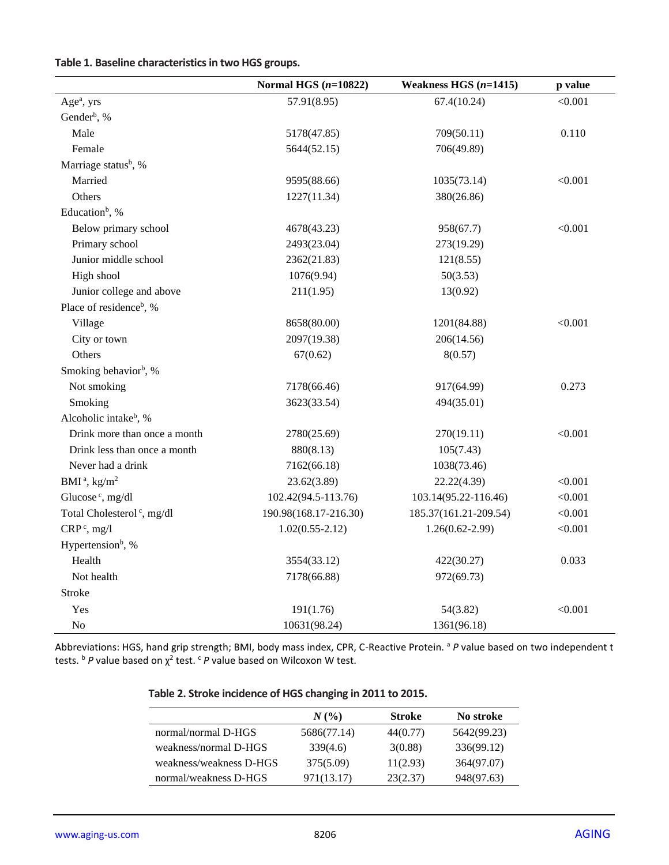| Table 1. Baseline characteristics in two HGS groups. |  |  |  |
|------------------------------------------------------|--|--|--|
|------------------------------------------------------|--|--|--|

|                                        | Normal HGS $(n=10822)$ | Weakness HGS $(n=1415)$ | p value |
|----------------------------------------|------------------------|-------------------------|---------|
| Age <sup>a</sup> , yrs                 | 57.91(8.95)            | 67.4(10.24)             | < 0.001 |
| Gender <sup>b</sup> , %                |                        |                         |         |
| Male                                   | 5178(47.85)            | 709(50.11)              | 0.110   |
| Female                                 | 5644(52.15)            | 706(49.89)              |         |
| Marriage status <sup>b</sup> , %       |                        |                         |         |
| Married                                | 9595(88.66)            | 1035(73.14)             | < 0.001 |
| Others                                 | 1227(11.34)            | 380(26.86)              |         |
| Education <sup>b</sup> , %             |                        |                         |         |
| Below primary school                   | 4678(43.23)            | 958(67.7)               | < 0.001 |
| Primary school                         | 2493(23.04)            | 273(19.29)              |         |
| Junior middle school                   | 2362(21.83)            | 121(8.55)               |         |
| High shool                             | 1076(9.94)             | 50(3.53)                |         |
| Junior college and above               | 211(1.95)              | 13(0.92)                |         |
| Place of residence <sup>b</sup> , %    |                        |                         |         |
| Village                                | 8658(80.00)            | 1201(84.88)             | < 0.001 |
| City or town                           | 2097(19.38)            | 206(14.56)              |         |
| Others                                 | 67(0.62)               | 8(0.57)                 |         |
| Smoking behavior <sup>b</sup> , %      |                        |                         |         |
| Not smoking                            | 7178(66.46)            | 917(64.99)              | 0.273   |
| Smoking                                | 3623(33.54)            | 494(35.01)              |         |
| Alcoholic intake <sup>b</sup> , %      |                        |                         |         |
| Drink more than once a month           | 2780(25.69)            | 270(19.11)              | < 0.001 |
| Drink less than once a month           | 880(8.13)              | 105(7.43)               |         |
| Never had a drink                      | 7162(66.18)            | 1038(73.46)             |         |
| BMI <sup>a</sup> , $\text{kg/m}^2$     | 23.62(3.89)            | 22.22(4.39)             | < 0.001 |
| Glucose <sup>c</sup> , mg/dl           | 102.42(94.5-113.76)    | 103.14(95.22-116.46)    | < 0.001 |
| Total Cholesterol <sup>c</sup> , mg/dl | 190.98(168.17-216.30)  | 185.37(161.21-209.54)   | < 0.001 |
| $CRPc$ , mg/l                          | $1.02(0.55 - 2.12)$    | $1.26(0.62 - 2.99)$     | < 0.001 |
| Hypertension <sup>b</sup> , %          |                        |                         |         |
| Health                                 | 3554(33.12)            | 422(30.27)              | 0.033   |
| Not health                             | 7178(66.88)            | 972(69.73)              |         |
| Stroke                                 |                        |                         |         |
| Yes                                    | 191(1.76)              | 54(3.82)                | < 0.001 |
| No                                     | 10631(98.24)           | 1361(96.18)             |         |

Abbreviations: HGS, hand grip strength; BMI, body mass index, CPR, C-Reactive Protein. <sup>a</sup> P value based on two independent t tests. <sup>b</sup> *P* value based on χ<sup>2</sup> test. <sup>c</sup> *P* value based on Wilcoxon W test.

|                         | N(%         | <b>Stroke</b> | No stroke   |
|-------------------------|-------------|---------------|-------------|
| normal/normal D-HGS     | 5686(77.14) | 44(0.77)      | 5642(99.23) |
| weakness/normal D-HGS   | 339(4.6)    | 3(0.88)       | 336(99.12)  |
| weakness/weakness D-HGS | 375(5.09)   | 11(2.93)      | 364(97.07)  |
| normal/weakness D-HGS   | 971(13.17)  | 23(2.37)      | 948(97.63)  |

## **Table 2. Stroke incidence of HGS changing in 2011 to 2015.**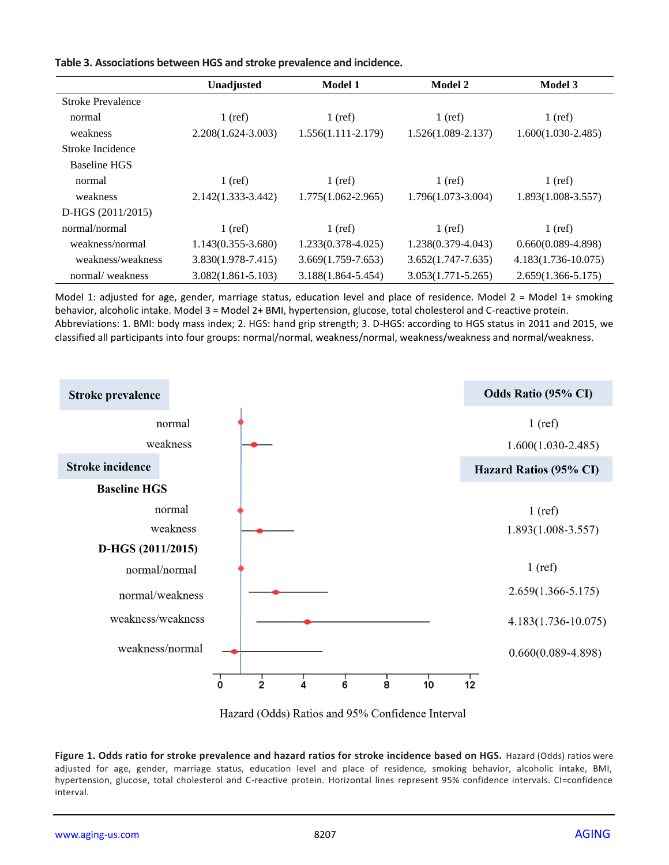|                     | Unadjusted             | <b>Model 1</b>         | Model 2                | Model 3                |
|---------------------|------------------------|------------------------|------------------------|------------------------|
| Stroke Prevalence   |                        |                        |                        |                        |
| normal              | $1$ (ref)              | $1$ (ref)              | $1$ (ref)              | $1$ (ref)              |
| weakness            | $2.208(1.624 - 3.003)$ | $1.556(1.111-2.179)$   | $1.526(1.089 - 2.137)$ | $1.600(1.030-2.485)$   |
| Stroke Incidence    |                        |                        |                        |                        |
| <b>Baseline HGS</b> |                        |                        |                        |                        |
| normal              | $1$ (ref)              | $1$ (ref)              | $1$ (ref)              | $1$ (ref)              |
| weakness            | $2.142(1.333 - 3.442)$ | $1.775(1.062 - 2.965)$ | 1.796(1.073-3.004)     | $1.893(1.008-3.557)$   |
| $D-HGS (2011/2015)$ |                        |                        |                        |                        |
| normal/normal       | $1$ (ref)              | $1$ (ref)              | $1$ (ref)              | $1$ (ref)              |
| weakness/normal     | $1.143(0.355 - 3.680)$ | $1.233(0.378 - 4.025)$ | 1.238(0.379-4.043)     | $0.660(0.089-4.898)$   |
| weakness/weakness   | 3.830(1.978-7.415)     | $3.669(1.759 - 7.653)$ | $3.652(1.747 - 7.635)$ | $4.183(1.736-10.075)$  |
| normal/weakness     | $3.082(1.861 - 5.103)$ | 3.188(1.864-5.454)     | $3.053(1.771 - 5.265)$ | $2.659(1.366 - 5.175)$ |

**Table 3. Associations between HGS and stroke prevalence and incidence.**

Model 1: adjusted for age, gender, marriage status, education level and place of residence. Model 2 = Model 1+ smoking behavior, alcoholic intake. Model 3 = Model 2+ BMI, hypertension, glucose, total cholesterol and C-reactive protein. Abbreviations: 1. BMI: body mass index; 2. HGS: hand grip strength; 3. D-HGS: according to HGS status in 2011 and 2015, we classified all participants into four groups: normal/normal, weakness/normal, weakness/weakness and normal/weakness.



Hazard (Odds) Ratios and 95% Confidence Interval

**Figure 1. Odds ratio for stroke prevalence and hazard ratios for stroke incidence based on HGS.** Hazard (Odds) ratios were adjusted for age, gender, marriage status, education level and place of residence, smoking behavior, alcoholic intake, BMI, hypertension, glucose, total cholesterol and C-reactive protein. Horizontal lines represent 95% confidence intervals. CI=confidence interval.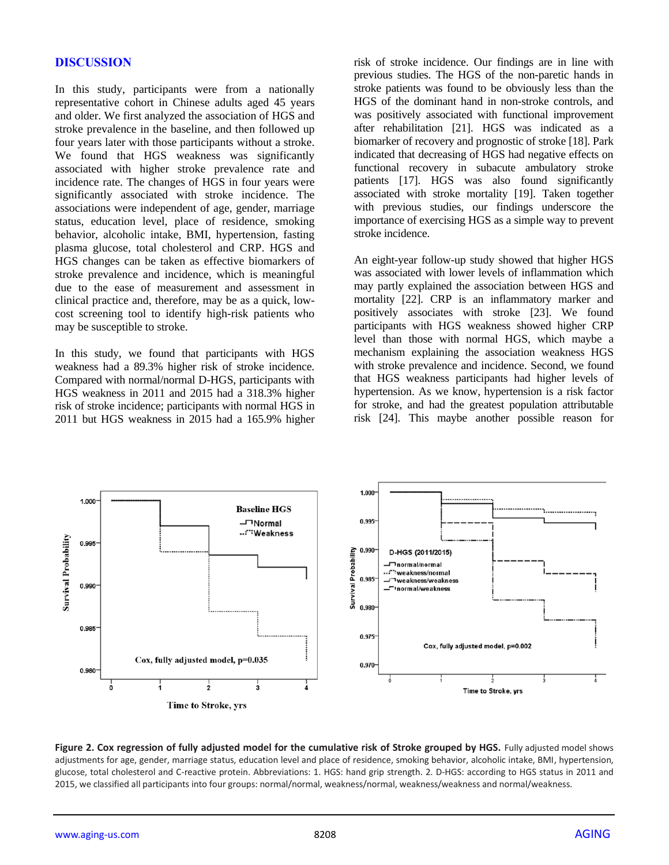#### **DISCUSSION**

In this study, participants were from a nationally representative cohort in Chinese adults aged 45 years and older. We first analyzed the association of HGS and stroke prevalence in the baseline, and then followed up four years later with those participants without a stroke. We found that HGS weakness was significantly associated with higher stroke prevalence rate and incidence rate. The changes of HGS in four years were significantly associated with stroke incidence. The associations were independent of age, gender, marriage status, education level, place of residence, smoking behavior, alcoholic intake, BMI, hypertension, fasting plasma glucose, total cholesterol and CRP. HGS and HGS changes can be taken as effective biomarkers of stroke prevalence and incidence, which is meaningful due to the ease of measurement and assessment in clinical practice and, therefore, may be as a quick, lowcost screening tool to identify high-risk patients who may be susceptible to stroke.

In this study, we found that participants with HGS weakness had a 89.3% higher risk of stroke incidence. Compared with normal/normal D-HGS, participants with HGS weakness in 2011 and 2015 had a 318.3% higher risk of stroke incidence; participants with normal HGS in 2011 but HGS weakness in 2015 had a 165.9% higher risk of stroke incidence. Our findings are in line with previous studies. The HGS of the non-paretic hands in stroke patients was found to be obviously less than the HGS of the dominant hand in non-stroke controls, and was positively associated with functional improvement after rehabilitation [21]. HGS was indicated as a biomarker of recovery and prognostic of stroke [18]. Park indicated that decreasing of HGS had negative effects on functional recovery in subacute ambulatory stroke patients [17]. HGS was also found significantly associated with stroke mortality [19]. Taken together with previous studies, our findings underscore the importance of exercising HGS as a simple way to prevent stroke incidence.

An eight-year follow-up study showed that higher HGS was associated with lower levels of inflammation which may partly explained the association between HGS and mortality [22]. CRP is an inflammatory marker and positively associates with stroke [23]. We found participants with HGS weakness showed higher CRP level than those with normal HGS, which maybe a mechanism explaining the association weakness HGS with stroke prevalence and incidence. Second, we found that HGS weakness participants had higher levels of hypertension. As we know, hypertension is a risk factor for stroke, and had the greatest population attributable risk [24]. This maybe another possible reason for



Figure 2. Cox regression of fully adjusted model for the cumulative risk of Stroke grouped by HGS. Fully adjusted model shows adjustments for age, gender, marriage status, education level and place of residence, smoking behavior, alcoholic intake, BMI, hypertension, glucose, total cholesterol and C-reactive protein. Abbreviations: 1. HGS: hand grip strength. 2. D-HGS: according to HGS status in 2011 and 2015, we classified all participants into four groups: normal/normal, weakness/normal, weakness/weakness and normal/weakness.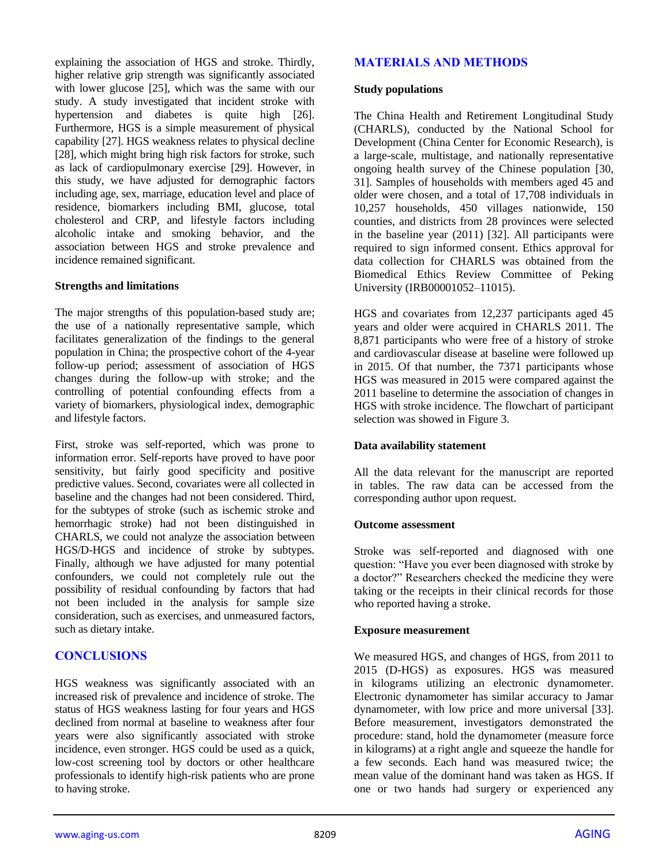explaining the association of HGS and stroke. Thirdly, higher relative grip strength was significantly associated with lower glucose [25], which was the same with our study. A study investigated that incident stroke with hypertension and diabetes is quite high [26]. Furthermore, HGS is a simple measurement of physical capability [27]. HGS weakness relates to physical decline [28], which might bring high risk factors for stroke, such as lack of cardiopulmonary exercise [29]. However, in this study, we have adjusted for demographic factors including age, sex, marriage, education level and place of residence, biomarkers including BMI, glucose, total cholesterol and CRP, and lifestyle factors including alcoholic intake and smoking behavior, and the association between HGS and stroke prevalence and incidence remained significant.

#### **Strengths and limitations**

The major strengths of this population-based study are; the use of a nationally representative sample, which facilitates generalization of the findings to the general population in China; the prospective cohort of the 4-year follow-up period; assessment of association of HGS changes during the follow-up with stroke; and the controlling of potential confounding effects from a variety of biomarkers, physiological index, demographic and lifestyle factors.

First, stroke was self-reported, which was prone to information error. Self-reports have proved to have poor sensitivity, but fairly good specificity and positive predictive values. Second, covariates were all collected in baseline and the changes had not been considered. Third, for the subtypes of stroke (such as ischemic stroke and hemorrhagic stroke) had not been distinguished in CHARLS, we could not analyze the association between HGS/D-HGS and incidence of stroke by subtypes. Finally, although we have adjusted for many potential confounders, we could not completely rule out the possibility of residual confounding by factors that had not been included in the analysis for sample size consideration, such as exercises, and unmeasured factors, such as dietary intake.

## **CONCLUSIONS**

HGS weakness was significantly associated with an increased risk of prevalence and incidence of stroke. The status of HGS weakness lasting for four years and HGS declined from normal at baseline to weakness after four years were also significantly associated with stroke incidence, even stronger. HGS could be used as a quick, low-cost screening tool by doctors or other healthcare professionals to identify high-risk patients who are prone to having stroke.

## **MATERIALS AND METHODS**

#### **Study populations**

The China Health and Retirement Longitudinal Study (CHARLS), conducted by the National School for Development (China Center for Economic Research), is a large-scale, multistage, and nationally representative ongoing health survey of the Chinese population [30, 31]. Samples of households with members aged 45 and older were chosen, and a total of 17,708 individuals in 10,257 households, 450 villages nationwide, 150 counties, and districts from 28 provinces were selected in the baseline year (2011) [32]. All participants were required to sign informed consent. Ethics approval for data collection for CHARLS was obtained from the Biomedical Ethics Review Committee of Peking University (IRB00001052–11015).

HGS and covariates from 12,237 participants aged 45 years and older were acquired in CHARLS 2011. The 8,871 participants who were free of a history of stroke and cardiovascular disease at baseline were followed up in 2015. Of that number, the 7371 participants whose HGS was measured in 2015 were compared against the 2011 baseline to determine the association of changes in HGS with stroke incidence. The flowchart of participant selection was showed in Figure 3.

#### **Data availability statement**

All the data relevant for the manuscript are reported in tables. The raw data can be accessed from the corresponding author upon request.

#### **Outcome assessment**

Stroke was self-reported and diagnosed with one question: "Have you ever been diagnosed with stroke by a doctor?" Researchers checked the medicine they were taking or the receipts in their clinical records for those who reported having a stroke.

#### **Exposure measurement**

We measured HGS, and changes of HGS, from 2011 to 2015 (D-HGS) as exposures. HGS was measured in kilograms utilizing an electronic dynamometer. Electronic dynamometer has similar accuracy to Jamar dynamometer, with low price and more universal [33]. Before measurement, investigators demonstrated the procedure: stand, hold the dynamometer (measure force in kilograms) at a right angle and squeeze the handle for a few seconds. Each hand was measured twice; the mean value of the dominant hand was taken as HGS. If one or two hands had surgery or experienced any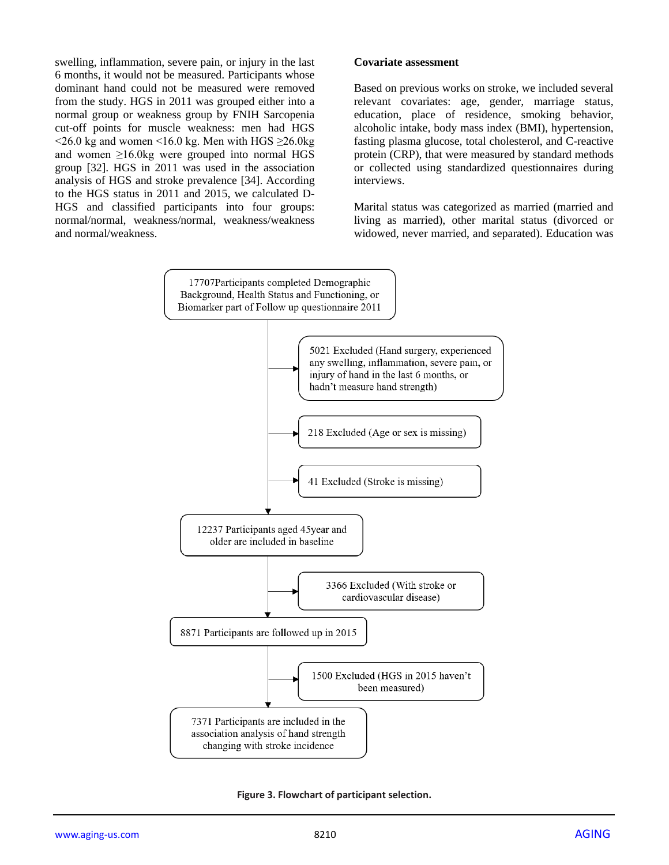swelling, inflammation, severe pain, or injury in the last 6 months, it would not be measured. Participants whose dominant hand could not be measured were removed from the study. HGS in 2011 was grouped either into a normal group or weakness group by FNIH Sarcopenia cut-off points for muscle weakness: men had HGS  $\leq$ 26.0 kg and women  $\leq$ 16.0 kg. Men with HGS  $\geq$ 26.0kg and women ≥16.0kg were grouped into normal HGS group [32]. HGS in 2011 was used in the association analysis of HGS and stroke prevalence [34]. According to the HGS status in 2011 and 2015, we calculated D-HGS and classified participants into four groups: normal/normal, weakness/normal, weakness/weakness and normal/weakness.

#### **Covariate assessment**

Based on previous works on stroke, we included several relevant covariates: age, gender, marriage status, education, place of residence, smoking behavior, alcoholic intake, body mass index (BMI), hypertension, fasting plasma glucose, total cholesterol, and C-reactive protein (CRP), that were measured by standard methods or collected using standardized questionnaires during interviews.

Marital status was categorized as married (married and living as married), other marital status (divorced or widowed, never married, and separated). Education was



**Figure 3. Flowchart of participant selection.**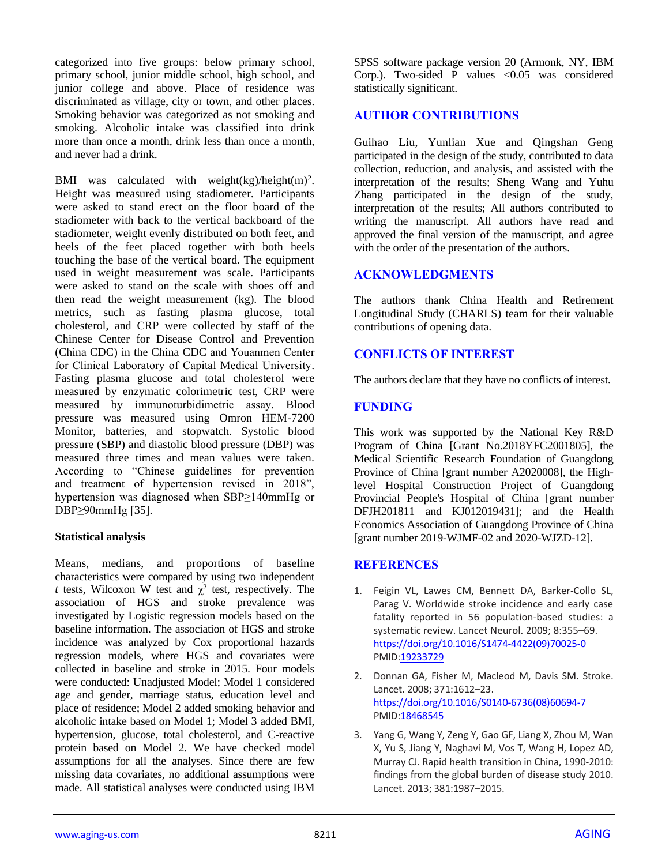categorized into five groups: below primary school, primary school, junior middle school, high school, and junior college and above. Place of residence was discriminated as village, city or town, and other places. Smoking behavior was categorized as not smoking and smoking. Alcoholic intake was classified into drink more than once a month, drink less than once a month, and never had a drink.

BMI was calculated with weight(kg)/height(m)<sup>2</sup>. Height was measured using stadiometer. Participants were asked to stand erect on the floor board of the stadiometer with back to the vertical backboard of the stadiometer, weight evenly distributed on both feet, and heels of the feet placed together with both heels touching the base of the vertical board. The equipment used in weight measurement was scale. Participants were asked to stand on the scale with shoes off and then read the weight measurement (kg). The blood metrics, such as fasting plasma glucose, total cholesterol, and CRP were collected by staff of the Chinese Center for Disease Control and Prevention (China CDC) in the China CDC and Youanmen Center for Clinical Laboratory of Capital Medical University. Fasting plasma glucose and total cholesterol were measured by enzymatic colorimetric test, CRP were measured by immunoturbidimetric assay. Blood pressure was measured using Omron HEM-7200 Monitor, batteries, and stopwatch. Systolic blood pressure (SBP) and diastolic blood pressure (DBP) was measured three times and mean values were taken. According to "Chinese guidelines for prevention and treatment of hypertension revised in 2018", hypertension was diagnosed when SBP≥140mmHg or DBP≥90mmHg [35].

#### **Statistical analysis**

Means, medians, and proportions of baseline characteristics were compared by using two independent *t* tests, Wilcoxon W test and  $\chi^2$  test, respectively. The association of HGS and stroke prevalence was investigated by Logistic regression models based on the baseline information. The association of HGS and stroke incidence was analyzed by Cox proportional hazards regression models, where HGS and covariates were collected in baseline and stroke in 2015. Four models were conducted: Unadjusted Model; Model 1 considered age and gender, marriage status, education level and place of residence; Model 2 added smoking behavior and alcoholic intake based on Model 1; Model 3 added BMI, hypertension, glucose, total cholesterol, and C-reactive protein based on Model 2. We have checked model assumptions for all the analyses. Since there are few missing data covariates, no additional assumptions were made. All statistical analyses were conducted using IBM

SPSS software package version 20 (Armonk, NY, IBM Corp.). Two-sided P values <0.05 was considered statistically significant.

## **AUTHOR CONTRIBUTIONS**

Guihao Liu, Yunlian Xue and Qingshan Geng participated in the design of the study, contributed to data collection, reduction, and analysis, and assisted with the interpretation of the results; Sheng Wang and Yuhu Zhang participated in the design of the study, interpretation of the results; All authors contributed to writing the manuscript. All authors have read and approved the final version of the manuscript, and agree with the order of the presentation of the authors.

## **ACKNOWLEDGMENTS**

The authors thank China Health and Retirement Longitudinal Study (CHARLS) team for their valuable contributions of opening data.

## **CONFLICTS OF INTEREST**

The authors declare that they have no conflicts of interest.

## **FUNDING**

This work was supported by the National Key R&D Program of China [Grant No.2018YFC2001805], the Medical Scientific Research Foundation of Guangdong Province of China [grant number A2020008], the Highlevel Hospital Construction Project of Guangdong Provincial People's Hospital of China [grant number DFJH201811 and KJ012019431]; and the Health Economics Association of Guangdong Province of China [grant number 2019-WJMF-02 and 2020-WJZD-12].

## **REFERENCES**

- 1. Feigin VL, Lawes CM, Bennett DA, Barker-Collo SL, Parag V. Worldwide stroke incidence and early case fatality reported in 56 population-based studies: a systematic review. Lancet Neurol. 2009; 8:355–69. [https://doi.org/10.1016/S1474-4422\(09\)70025-0](https://doi.org/10.1016/S1474-4422(09)70025-0) PMI[D:19233729](https://pubmed.ncbi.nlm.nih.gov/19233729)
- 2. Donnan GA, Fisher M, Macleod M, Davis SM. Stroke. Lancet. 2008; 371:1612–23. [https://doi.org/10.1016/S0140-6736\(08\)60694-7](https://doi.org/10.1016/S0140-6736(08)60694-7) PMI[D:18468545](https://pubmed.ncbi.nlm.nih.gov/18468545)
- 3. Yang G, Wang Y, Zeng Y, Gao GF, Liang X, Zhou M, Wan X, Yu S, Jiang Y, Naghavi M, Vos T, Wang H, Lopez AD, Murray CJ. Rapid health transition in China, 1990-2010: findings from the global burden of disease study 2010. Lancet. 2013; 381:1987–2015.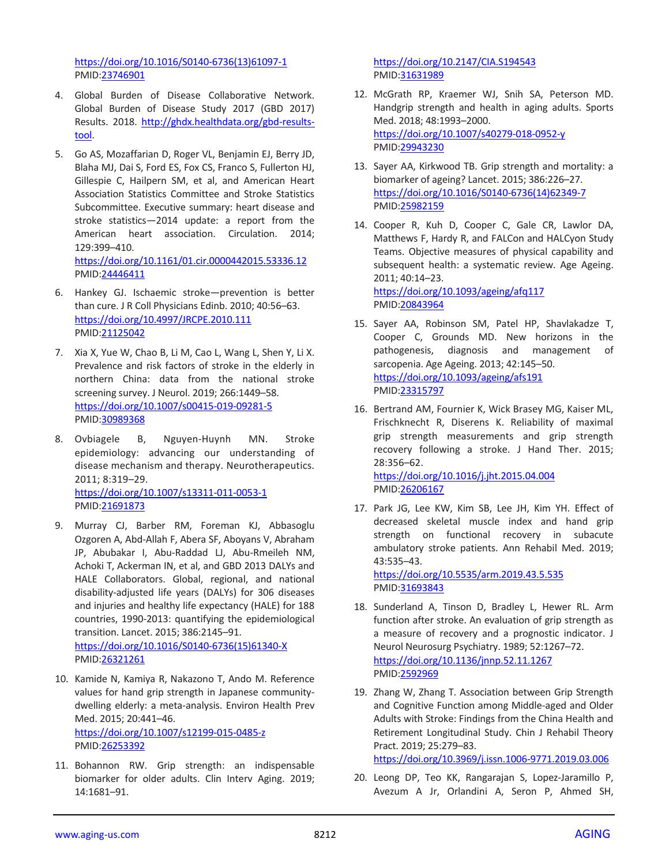[https://doi.org/10.1016/S0140-6736\(13\)61097-1](https://doi.org/10.1016/S0140-6736(13)61097-1) PMID[:23746901](https://pubmed.ncbi.nlm.nih.gov/23746901)

- 4. Global Burden of Disease Collaborative Network. Global Burden of Disease Study 2017 (GBD 2017) Results. 2018. [http://ghdx.healthdata.org/gbd-results](http://ghdx.healthdata.org/gbd-results-tool)[tool.](http://ghdx.healthdata.org/gbd-results-tool)
- 5. Go AS, Mozaffarian D, Roger VL, Benjamin EJ, Berry JD, Blaha MJ, Dai S, Ford ES, Fox CS, Franco S, Fullerton HJ, Gillespie C, Hailpern SM, et al, and American Heart Association Statistics Committee and Stroke Statistics Subcommittee. Executive summary: heart disease and stroke statistics—2014 update: a report from the American heart association. Circulation. 2014; 129:399–410. <https://doi.org/10.1161/01.cir.0000442015.53336.12>
- 6. Hankey GJ. Ischaemic stroke—prevention is better than cure. J R Coll Physicians Edinb. 2010; 40:56–63. <https://doi.org/10.4997/JRCPE.2010.111> PMID[:21125042](https://pubmed.ncbi.nlm.nih.gov/21125042)

PMID[:24446411](https://pubmed.ncbi.nlm.nih.gov/24446411)

- 7. Xia X, Yue W, Chao B, Li M, Cao L, Wang L, Shen Y, Li X. Prevalence and risk factors of stroke in the elderly in northern China: data from the national stroke screening survey. J Neurol. 2019; 266:1449–58. <https://doi.org/10.1007/s00415-019-09281-5> PMID[:30989368](https://pubmed.ncbi.nlm.nih.gov/30989368)
- 8. Ovbiagele B, Nguyen-Huynh MN. Stroke epidemiology: advancing our understanding of disease mechanism and therapy. Neurotherapeutics. 2011; 8:319–29. <https://doi.org/10.1007/s13311-011-0053-1> PMID[:21691873](https://pubmed.ncbi.nlm.nih.gov/21691873)
- 9. Murray CJ, Barber RM, Foreman KJ, Abbasoglu Ozgoren A, Abd-Allah F, Abera SF, Aboyans V, Abraham JP, Abubakar I, Abu-Raddad LJ, Abu-Rmeileh NM, Achoki T, Ackerman IN, et al, and GBD 2013 DALYs and HALE Collaborators. Global, regional, and national disability-adjusted life years (DALYs) for 306 diseases and injuries and healthy life expectancy (HALE) for 188 countries, 1990-2013: quantifying the epidemiological transition. Lancet. 2015; 386:2145–91. [https://doi.org/10.1016/S0140-6736\(15\)61340-X](https://doi.org/10.1016/S0140-6736(15)61340-X)

PMID[:26321261](https://pubmed.ncbi.nlm.nih.gov/26321261)

- 10. Kamide N, Kamiya R, Nakazono T, Ando M. Reference values for hand grip strength in Japanese communitydwelling elderly: a meta-analysis. Environ Health Prev Med. 2015; 20:441–46. <https://doi.org/10.1007/s12199-015-0485-z> PMID[:26253392](https://pubmed.ncbi.nlm.nih.gov/26253392)
- 11. Bohannon RW. Grip strength: an indispensable biomarker for older adults. Clin Interv Aging. 2019; 14:1681–91.

<https://doi.org/10.2147/CIA.S194543> PMI[D:31631989](https://pubmed.ncbi.nlm.nih.gov/31631989)

- 12. McGrath RP, Kraemer WJ, Snih SA, Peterson MD. Handgrip strength and health in aging adults. Sports Med. 2018; 48:1993–2000. <https://doi.org/10.1007/s40279-018-0952-y> PMI[D:29943230](https://pubmed.ncbi.nlm.nih.gov/29943230)
- 13. Sayer AA, Kirkwood TB. Grip strength and mortality: a biomarker of ageing? Lancet. 2015; 386:226–27. [https://doi.org/10.1016/S0140-6736\(14\)62349-7](https://doi.org/10.1016/S0140-6736(14)62349-7) PMI[D:25982159](https://pubmed.ncbi.nlm.nih.gov/25982159)
- 14. Cooper R, Kuh D, Cooper C, Gale CR, Lawlor DA, Matthews F, Hardy R, and FALCon and HALCyon Study Teams. Objective measures of physical capability and subsequent health: a systematic review. Age Ageing. 2011; 40:14–23. <https://doi.org/10.1093/ageing/afq117>

PMI[D:20843964](https://pubmed.ncbi.nlm.nih.gov/20843964)

- 15. Sayer AA, Robinson SM, Patel HP, Shavlakadze T, Cooper C, Grounds MD. New horizons in the pathogenesis, diagnosis and management of sarcopenia. Age Ageing. 2013; 42:145–50. <https://doi.org/10.1093/ageing/afs191> PMI[D:23315797](https://pubmed.ncbi.nlm.nih.gov/23315797)
- 16. Bertrand AM, Fournier K, Wick Brasey MG, Kaiser ML, Frischknecht R, Diserens K. Reliability of maximal grip strength measurements and grip strength recovery following a stroke. J Hand Ther. 2015; 28:356–62.

<https://doi.org/10.1016/j.jht.2015.04.004> PMI[D:26206167](https://pubmed.ncbi.nlm.nih.gov/26206167)

17. Park JG, Lee KW, Kim SB, Lee JH, Kim YH. Effect of decreased skeletal muscle index and hand grip strength on functional recovery in subacute ambulatory stroke patients. Ann Rehabil Med. 2019; 43:535–43. <https://doi.org/10.5535/arm.2019.43.5.535>

PMI[D:31693843](https://pubmed.ncbi.nlm.nih.gov/31693843)

- 18. Sunderland A, Tinson D, Bradley L, Hewer RL. Arm function after stroke. An evaluation of grip strength as a measure of recovery and a prognostic indicator. J Neurol Neurosurg Psychiatry. 1989; 52:1267–72. <https://doi.org/10.1136/jnnp.52.11.1267> PMI[D:2592969](https://pubmed.ncbi.nlm.nih.gov/2592969)
- 19. Zhang W, Zhang T. Association between Grip Strength and Cognitive Function among Middle-aged and Older Adults with Stroke: Findings from the China Health and Retirement Longitudinal Study. Chin J Rehabil Theory Pract. 2019; 25:279–83. <https://doi.org/10.3969/j.issn.1006-9771.2019.03.006>
- 20. Leong DP, Teo KK, Rangarajan S, Lopez-Jaramillo P, Avezum A Jr, Orlandini A, Seron P, Ahmed SH,